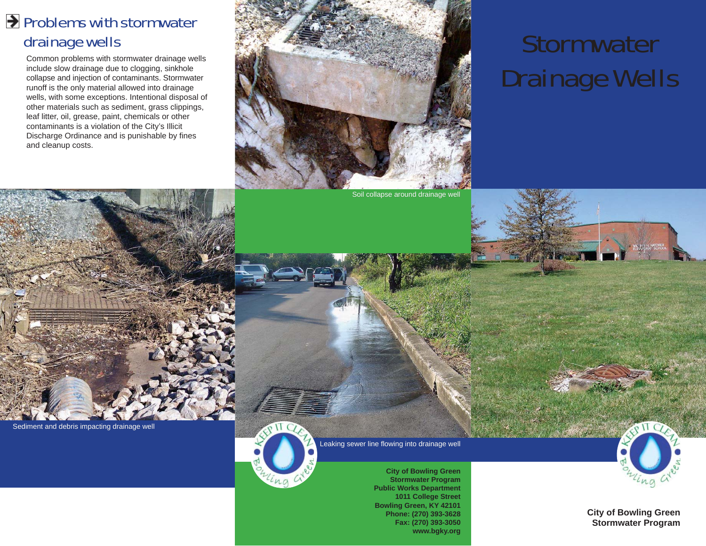### Problems with stormwater drainage wells

Common problems with stormwater drainage wells include slow drainage due to clogging, sinkhole collapse and injection of contaminants. Stormwater runoff is the only material allowed into drainage wells, with some exceptions. Intentional disposal of other materials such as sediment, grass clippings, leaf litter, oil, grease, paint, chemicals or other contaminants is a violation of the City's Illicit Discharge Ordinance and is punishable by fines and cleanup costs.



# **Stormwater** Drainage Wells

Sediment and debris impacting drainage well



Leaking sewer line flowing into drainage well

**City of Bowling Green Stormwater Program Public Works Department 1011 College Street Bowling Green, KY 42101 Phone: (270) 393-3628 Fax: (270) 393-3050 www.bgky.org**



**City of Bowling Green Stormwater Program**